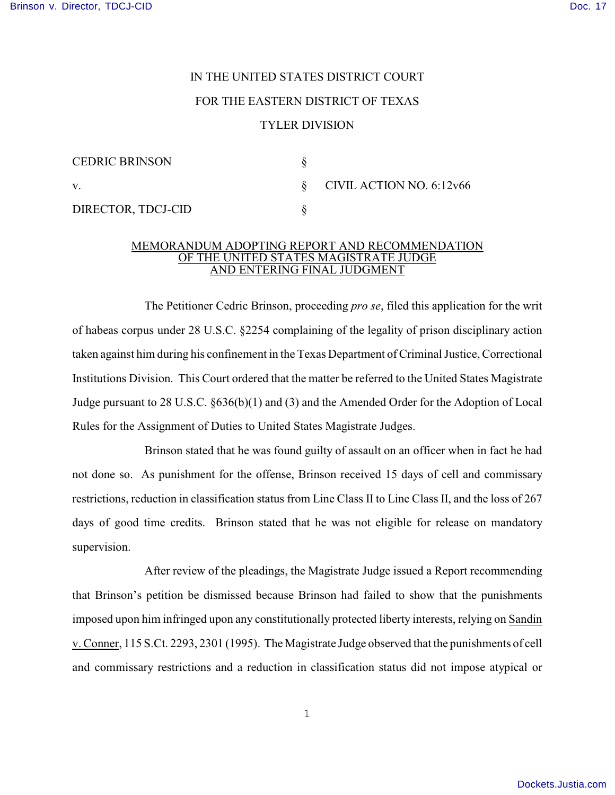## IN THE UNITED STATES DISTRICT COURT FOR THE EASTERN DISTRICT OF TEXAS TYLER DIVISION

| <b>CEDRIC BRINSON</b> |                          |
|-----------------------|--------------------------|
| V.                    | CIVIL ACTION NO. 6:12v66 |
| DIRECTOR, TDCJ-CID    |                          |

## MEMORANDUM ADOPTING REPORT AND RECOMMENDATION OF THE UNITED STATES MAGISTRATE JUDGE AND ENTERING FINAL JUDGMENT

The Petitioner Cedric Brinson, proceeding *pro se*, filed this application for the writ of habeas corpus under 28 U.S.C. §2254 complaining of the legality of prison disciplinary action taken against him during his confinement in the Texas Department of Criminal Justice, Correctional Institutions Division. This Court ordered that the matter be referred to the United States Magistrate Judge pursuant to 28 U.S.C. §636(b)(1) and (3) and the Amended Order for the Adoption of Local Rules for the Assignment of Duties to United States Magistrate Judges.

Brinson stated that he was found guilty of assault on an officer when in fact he had not done so. As punishment for the offense, Brinson received 15 days of cell and commissary restrictions, reduction in classification status from Line Class II to Line Class II, and the loss of 267 days of good time credits. Brinson stated that he was not eligible for release on mandatory supervision.

After review of the pleadings, the Magistrate Judge issued a Report recommending that Brinson's petition be dismissed because Brinson had failed to show that the punishments imposed upon him infringed upon any constitutionally protected liberty interests, relying on Sandin v.Conner, 115 S.Ct. 2293, 2301 (1995). The Magistrate Judge observed that the punishments of cell and commissary restrictions and a reduction in classification status did not impose atypical or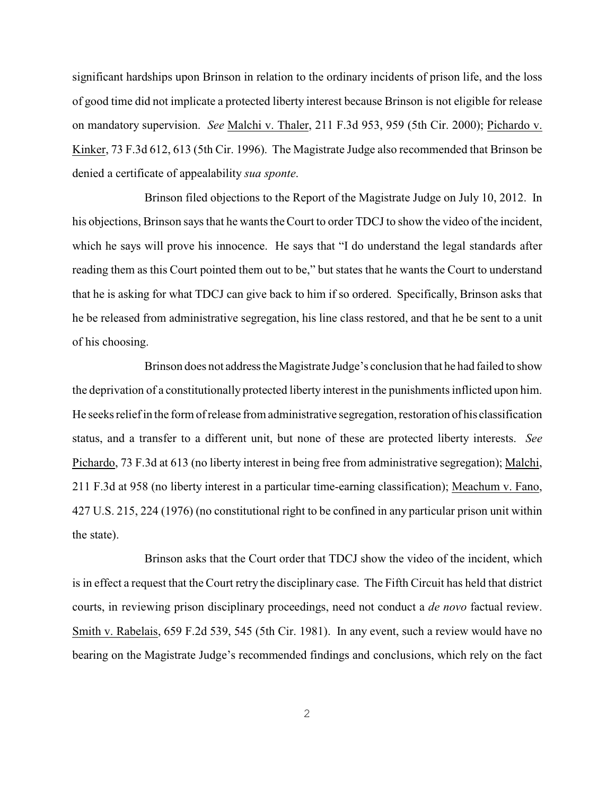significant hardships upon Brinson in relation to the ordinary incidents of prison life, and the loss of good time did not implicate a protected liberty interest because Brinson is not eligible for release on mandatory supervision. *See* Malchi v. Thaler, 211 F.3d 953, 959 (5th Cir. 2000); Pichardo v. Kinker, 73 F.3d 612, 613 (5th Cir. 1996). The Magistrate Judge also recommended that Brinson be denied a certificate of appealability *sua sponte*.

Brinson filed objections to the Report of the Magistrate Judge on July 10, 2012. In his objections, Brinson says that he wants the Court to order TDCJ to show the video of the incident, which he says will prove his innocence. He says that "I do understand the legal standards after reading them as this Court pointed them out to be," but states that he wants the Court to understand that he is asking for what TDCJ can give back to him if so ordered. Specifically, Brinson asks that he be released from administrative segregation, his line class restored, and that he be sent to a unit of his choosing.

Brinson does not address the Magistrate Judge's conclusion that he had failed to show the deprivation of a constitutionally protected liberty interest in the punishments inflicted upon him. He seeks relief in the form of release from administrative segregation, restoration of his classification status, and a transfer to a different unit, but none of these are protected liberty interests. *See* Pichardo, 73 F.3d at 613 (no liberty interest in being free from administrative segregation); Malchi, 211 F.3d at 958 (no liberty interest in a particular time-earning classification); Meachum v. Fano, 427 U.S. 215, 224 (1976) (no constitutional right to be confined in any particular prison unit within the state).

Brinson asks that the Court order that TDCJ show the video of the incident, which is in effect a request that the Court retry the disciplinary case. The Fifth Circuit has held that district courts, in reviewing prison disciplinary proceedings, need not conduct a *de novo* factual review. Smith v. Rabelais, 659 F.2d 539, 545 (5th Cir. 1981). In any event, such a review would have no bearing on the Magistrate Judge's recommended findings and conclusions, which rely on the fact